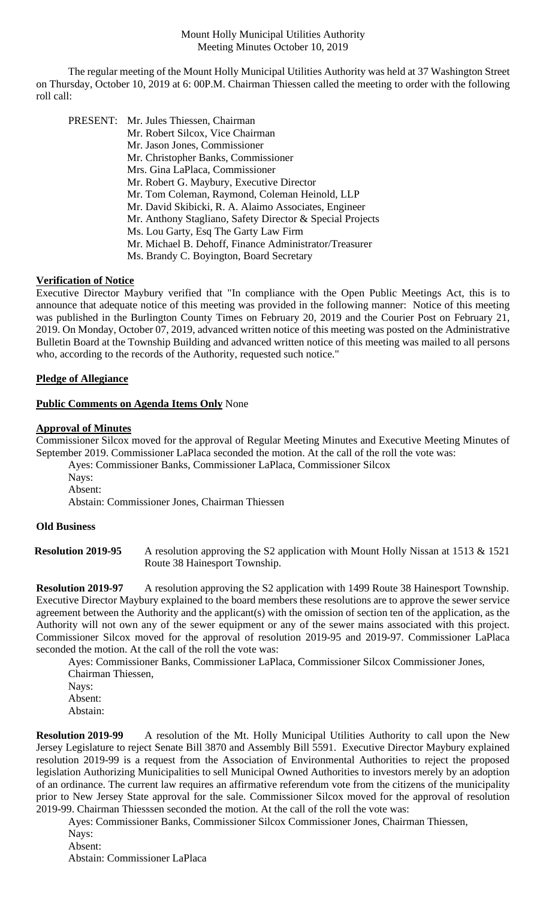The regular meeting of the Mount Holly Municipal Utilities Authority was held at 37 Washington Street on Thursday, October 10, 2019 at 6: 00P.M. Chairman Thiessen called the meeting to order with the following roll call:

PRESENT: Mr. Jules Thiessen, Chairman Mr. Robert Silcox, Vice Chairman Mr. Jason Jones, Commissioner Mr. Christopher Banks, Commissioner Mrs. Gina LaPlaca, Commissioner Mr. Robert G. Maybury, Executive Director Mr. Tom Coleman, Raymond, Coleman Heinold, LLP Mr. David Skibicki, R. A. Alaimo Associates, Engineer Mr. Anthony Stagliano, Safety Director & Special Projects Ms. Lou Garty, Esq The Garty Law Firm Mr. Michael B. Dehoff, Finance Administrator/Treasurer Ms. Brandy C. Boyington, Board Secretary

# **Verification of Notice**

Executive Director Maybury verified that "In compliance with the Open Public Meetings Act, this is to announce that adequate notice of this meeting was provided in the following manner: Notice of this meeting was published in the Burlington County Times on February 20, 2019 and the Courier Post on February 21, 2019. On Monday, October 07, 2019, advanced written notice of this meeting was posted on the Administrative Bulletin Board at the Township Building and advanced written notice of this meeting was mailed to all persons who, according to the records of the Authority, requested such notice."

# **Pledge of Allegiance**

# **Public Comments on Agenda Items Only** None

# **Approval of Minutes**

Commissioner Silcox moved for the approval of Regular Meeting Minutes and Executive Meeting Minutes of September 2019. Commissioner LaPlaca seconded the motion. At the call of the roll the vote was:

Ayes: Commissioner Banks, Commissioner LaPlaca, Commissioner Silcox

Nays: Absent:

Abstain: Commissioner Jones, Chairman Thiessen

# **Old Business**

**Resolution 2019-95** A resolution approving the S2 application with Mount Holly Nissan at 1513 & 1521 Route 38 Hainesport Township.

**Resolution 2019-97** A resolution approving the S2 application with 1499 Route 38 Hainesport Township. Executive Director Maybury explained to the board members these resolutions are to approve the sewer service agreement between the Authority and the applicant(s) with the omission of section ten of the application, as the Authority will not own any of the sewer equipment or any of the sewer mains associated with this project. Commissioner Silcox moved for the approval of resolution 2019-95 and 2019-97. Commissioner LaPlaca seconded the motion. At the call of the roll the vote was:

Ayes: Commissioner Banks, Commissioner LaPlaca, Commissioner Silcox Commissioner Jones, Chairman Thiessen,

Navs: Absent:

Abstain:

**Resolution 2019-99** A resolution of the Mt. Holly Municipal Utilities Authority to call upon the New Jersey Legislature to reject Senate Bill 3870 and Assembly Bill 5591. Executive Director Maybury explained resolution 2019-99 is a request from the Association of Environmental Authorities to reject the proposed legislation Authorizing Municipalities to sell Municipal Owned Authorities to investors merely by an adoption of an ordinance. The current law requires an affirmative referendum vote from the citizens of the municipality prior to New Jersey State approval for the sale. Commissioner Silcox moved for the approval of resolution 2019-99. Chairman Thiesssen seconded the motion. At the call of the roll the vote was:

Ayes: Commissioner Banks, Commissioner Silcox Commissioner Jones, Chairman Thiessen, Nays: Absent:

Abstain: Commissioner LaPlaca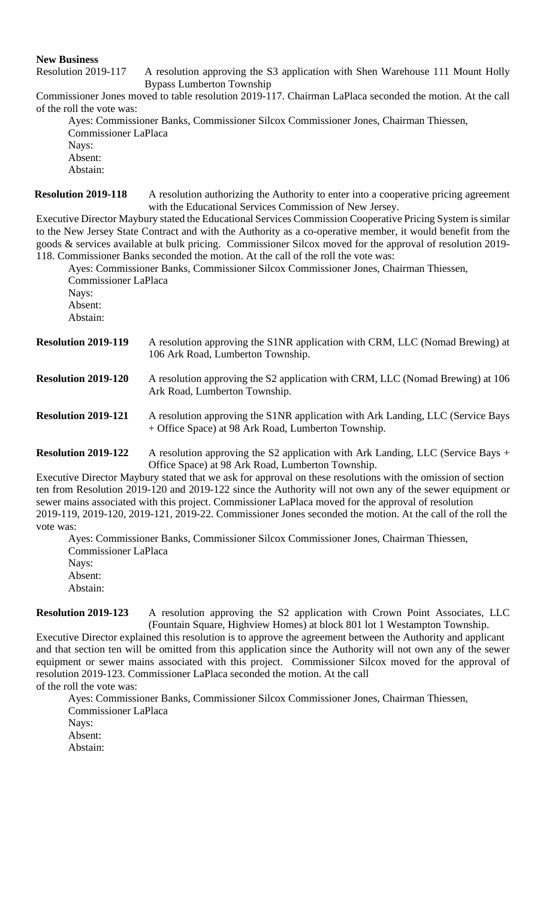**New Business**

Resolution 2019-117 A resolution approving the S3 application with Shen Warehouse 111 Mount Holly Bypass Lumberton Township

Commissioner Jones moved to table resolution 2019-117. Chairman LaPlaca seconded the motion. At the call of the roll the vote was:

Ayes: Commissioner Banks, Commissioner Silcox Commissioner Jones, Chairman Thiessen, Commissioner LaPlaca Nays: Absent:

Abstain:

**Resolution 2019-118** A resolution authorizing the Authority to enter into a cooperative pricing agreement with the Educational Services Commission of New Jersey.

Executive Director Maybury stated the Educational Services Commission Cooperative Pricing System is similar to the New Jersey State Contract and with the Authority as a co-operative member, it would benefit from the goods & services available at bulk pricing. Commissioner Silcox moved for the approval of resolution 2019- 118. Commissioner Banks seconded the motion. At the call of the roll the vote was:

Ayes: Commissioner Banks, Commissioner Silcox Commissioner Jones, Chairman Thiessen, Commissioner LaPlaca Nays: Absent: Abstain:

| <b>Resolution 2019-119</b> | A resolution approving the S1NR application with CRM, LLC (Nomad Brewing) at<br>106 Ark Road, Lumberton Township.                                                                                                                                                                                                                                                        |
|----------------------------|--------------------------------------------------------------------------------------------------------------------------------------------------------------------------------------------------------------------------------------------------------------------------------------------------------------------------------------------------------------------------|
|                            | $\lambda$ 1. $\lambda$ 1. $\lambda$ 1. $\lambda$ 1. $\lambda$ 1. $\lambda$ 1. $\lambda$ 1. $\lambda$ 1. $\lambda$ 1. $\lambda$ 1. $\lambda$ 1. $\lambda$ 1. $\lambda$ 1. $\lambda$ 1. $\lambda$ 1. $\lambda$ 1. $\lambda$ 1. $\lambda$ 1. $\lambda$ 1. $\lambda$ 1. $\lambda$ 1. $\lambda$ 1. $\lambda$ 1. $\lambda$ 1. $\lambda$ 1. $\lambda$ 1. $\lambda$ 1. $\lambda$ |

**Resolution 2019-120** A resolution approving the S2 application with CRM, LLC (Nomad Brewing) at 106 Ark Road, Lumberton Township.

**Resolution 2019-121** A resolution approving the S1NR application with Ark Landing, LLC (Service Bays + Office Space) at 98 Ark Road, Lumberton Township.

**Resolution 2019-122** A resolution approving the S2 application with Ark Landing, LLC (Service Bays + Office Space) at 98 Ark Road, Lumberton Township.

Executive Director Maybury stated that we ask for approval on these resolutions with the omission of section ten from Resolution 2019-120 and 2019-122 since the Authority will not own any of the sewer equipment or sewer mains associated with this project. Commissioner LaPlaca moved for the approval of resolution 2019-119, 2019-120, 2019-121, 2019-22. Commissioner Jones seconded the motion. At the call of the roll the vote was:

Ayes: Commissioner Banks, Commissioner Silcox Commissioner Jones, Chairman Thiessen, Commissioner LaPlaca Navs: Absent: Abstain:

**Resolution 2019-123** A resolution approving the S2 application with Crown Point Associates, LLC (Fountain Square, Highview Homes) at block 801 lot 1 Westampton Township.

Executive Director explained this resolution is to approve the agreement between the Authority and applicant and that section ten will be omitted from this application since the Authority will not own any of the sewer equipment or sewer mains associated with this project. Commissioner Silcox moved for the approval of resolution 2019-123. Commissioner LaPlaca seconded the motion. At the call of the roll the vote was:

Ayes: Commissioner Banks, Commissioner Silcox Commissioner Jones, Chairman Thiessen, Commissioner LaPlaca Nays: Absent: Abstain: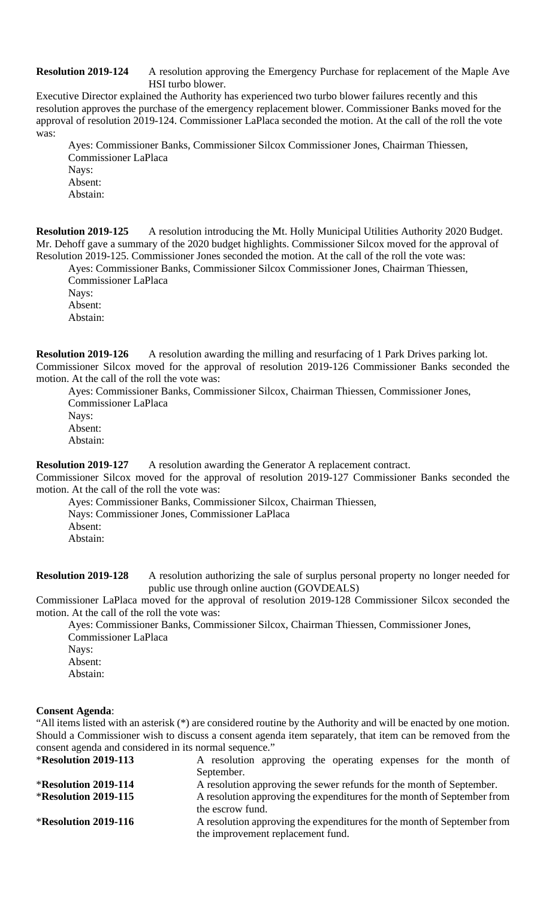# **Resolution 2019-124** A resolution approving the Emergency Purchase for replacement of the Maple Ave HSI turbo blower.

Executive Director explained the Authority has experienced two turbo blower failures recently and this resolution approves the purchase of the emergency replacement blower. Commissioner Banks moved for the approval of resolution 2019-124. Commissioner LaPlaca seconded the motion. At the call of the roll the vote was:

Ayes: Commissioner Banks, Commissioner Silcox Commissioner Jones, Chairman Thiessen, Commissioner LaPlaca Nays: Absent: Abstain:

**Resolution 2019-125** A resolution introducing the Mt. Holly Municipal Utilities Authority 2020 Budget. Mr. Dehoff gave a summary of the 2020 budget highlights. Commissioner Silcox moved for the approval of Resolution 2019-125. Commissioner Jones seconded the motion. At the call of the roll the vote was:

Ayes: Commissioner Banks, Commissioner Silcox Commissioner Jones, Chairman Thiessen, Commissioner LaPlaca Nays: Absent: Abstain:

**Resolution 2019-126** A resolution awarding the milling and resurfacing of 1 Park Drives parking lot. Commissioner Silcox moved for the approval of resolution 2019-126 Commissioner Banks seconded the motion. At the call of the roll the vote was:

Ayes: Commissioner Banks, Commissioner Silcox, Chairman Thiessen, Commissioner Jones, Commissioner LaPlaca Nays:

Absent: Abstain:

**Resolution 2019-127** A resolution awarding the Generator A replacement contract.

Commissioner Silcox moved for the approval of resolution 2019-127 Commissioner Banks seconded the motion. At the call of the roll the vote was:

Ayes: Commissioner Banks, Commissioner Silcox, Chairman Thiessen, Nays: Commissioner Jones, Commissioner LaPlaca Absent: Abstain:

**Resolution 2019-128** A resolution authorizing the sale of surplus personal property no longer needed for public use through online auction (GOVDEALS)

Commissioner LaPlaca moved for the approval of resolution 2019-128 Commissioner Silcox seconded the motion. At the call of the roll the vote was:

Ayes: Commissioner Banks, Commissioner Silcox, Chairman Thiessen, Commissioner Jones, Commissioner LaPlaca

- Nays:
- Absent: Abstain:

# **Consent Agenda**:

"All items listed with an asterisk (\*) are considered routine by the Authority and will be enacted by one motion. Should a Commissioner wish to discuss a consent agenda item separately, that item can be removed from the consent agenda and considered in its normal sequence."

| <b>*Resolution 2019-113</b> | A resolution approving the operating expenses for the month of          |
|-----------------------------|-------------------------------------------------------------------------|
|                             | September.                                                              |
| $*$ Resolution 2019-114     | A resolution approving the sewer refunds for the month of September.    |
| <b>*Resolution 2019-115</b> | A resolution approving the expenditures for the month of September from |
|                             | the escrow fund.                                                        |
| <b>*Resolution 2019-116</b> | A resolution approving the expenditures for the month of September from |
|                             | the improvement replacement fund.                                       |